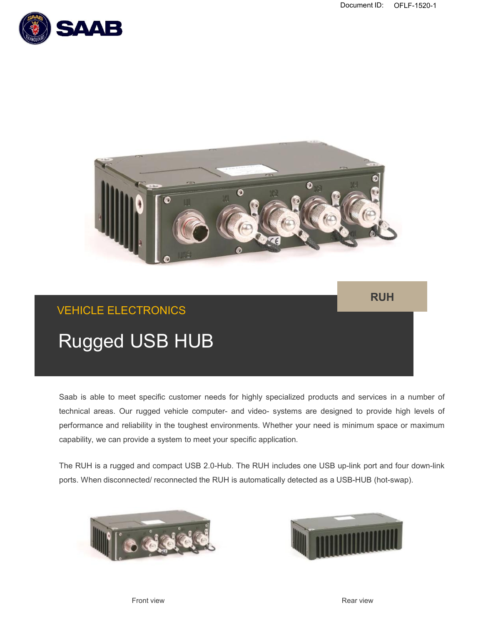



## **RUH**

# VEHICLE ELECTRONICS

# Rugged USB HUB

Saab is able to meet specific customer needs for highly specialized products and services in a number of technical areas. Our rugged vehicle computer- and video- systems are designed to provide high levels of performance and reliability in the toughest environments. Whether your need is minimum space or maximum capability, we can provide a system to meet your specific application.

The RUH is a rugged and compact USB 2.0-Hub. The RUH includes one USB up-link port and four down-link ports. When disconnected/ reconnected the RUH is automatically detected as a USB-HUB (hot-swap).